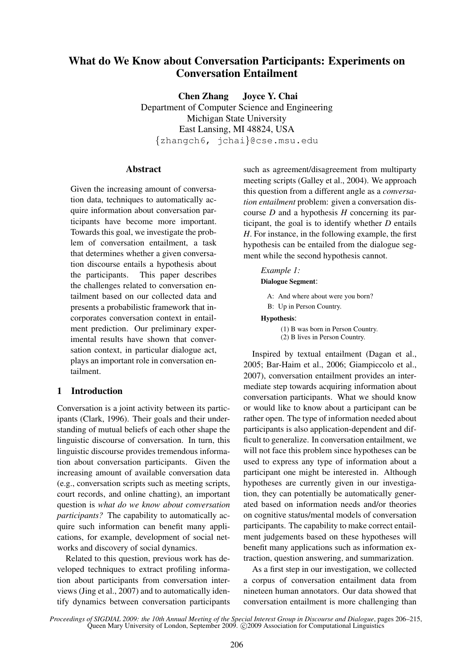# What do We Know about Conversation Participants: Experiments on Conversation Entailment

Chen Zhang Joyce Y. Chai Department of Computer Science and Engineering Michigan State University East Lansing, MI 48824, USA {zhangch6, jchai}@cse.msu.edu

## Abstract

Given the increasing amount of conversation data, techniques to automatically acquire information about conversation participants have become more important. Towards this goal, we investigate the problem of conversation entailment, a task that determines whether a given conversation discourse entails a hypothesis about the participants. This paper describes the challenges related to conversation entailment based on our collected data and presents a probabilistic framework that incorporates conversation context in entailment prediction. Our preliminary experimental results have shown that conversation context, in particular dialogue act, plays an important role in conversation entailment.

## 1 Introduction

Conversation is a joint activity between its participants (Clark, 1996). Their goals and their understanding of mutual beliefs of each other shape the linguistic discourse of conversation. In turn, this linguistic discourse provides tremendous information about conversation participants. Given the increasing amount of available conversation data (e.g., conversation scripts such as meeting scripts, court records, and online chatting), an important question is *what do we know about conversation participants?* The capability to automatically acquire such information can benefit many applications, for example, development of social networks and discovery of social dynamics.

Related to this question, previous work has developed techniques to extract profiling information about participants from conversation interviews (Jing et al., 2007) and to automatically identify dynamics between conversation participants such as agreement/disagreement from multiparty meeting scripts (Galley et al., 2004). We approach this question from a different angle as a *conversation entailment* problem: given a conversation discourse *D* and a hypothesis *H* concerning its participant, the goal is to identify whether *D* entails *H*. For instance, in the following example, the first hypothesis can be entailed from the dialogue segment while the second hypothesis cannot.

# *Example 1:* Dialogue Segment: A: And where about were you born?

B: Up in Person Country. Hypothesis: (1) B was born in Person Country. (2) B lives in Person Country.

Inspired by textual entailment (Dagan et al., 2005; Bar-Haim et al., 2006; Giampiccolo et al., 2007), conversation entailment provides an intermediate step towards acquiring information about conversation participants. What we should know or would like to know about a participant can be rather open. The type of information needed about participants is also application-dependent and difficult to generalize. In conversation entailment, we will not face this problem since hypotheses can be used to express any type of information about a participant one might be interested in. Although hypotheses are currently given in our investigation, they can potentially be automatically generated based on information needs and/or theories on cognitive status/mental models of conversation participants. The capability to make correct entailment judgements based on these hypotheses will benefit many applications such as information extraction, question answering, and summarization.

As a first step in our investigation, we collected a corpus of conversation entailment data from nineteen human annotators. Our data showed that conversation entailment is more challenging than

*Proceedings of SIGDIAL 2009: the 10th Annual Meeting of the Special Interest Group in Discourse and Dialogue*, pages 206–215, Queen Mary University of London, September 2009. © 2009 Association for Computational Linguistics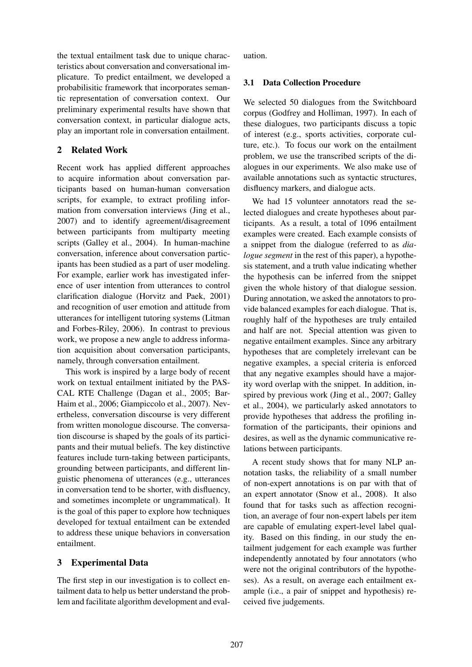the textual entailment task due to unique characteristics about conversation and conversational implicature. To predict entailment, we developed a probabilisitic framework that incorporates semantic representation of conversation context. Our preliminary experimental results have shown that conversation context, in particular dialogue acts, play an important role in conversation entailment.

## 2 Related Work

Recent work has applied different approaches to acquire information about conversation participants based on human-human conversation scripts, for example, to extract profiling information from conversation interviews (Jing et al., 2007) and to identify agreement/disagreement between participants from multiparty meeting scripts (Galley et al., 2004). In human-machine conversation, inference about conversation participants has been studied as a part of user modeling. For example, earlier work has investigated inference of user intention from utterances to control clarification dialogue (Horvitz and Paek, 2001) and recognition of user emotion and attitude from utterances for intelligent tutoring systems (Litman and Forbes-Riley, 2006). In contrast to previous work, we propose a new angle to address information acquisition about conversation participants, namely, through conversation entailment.

This work is inspired by a large body of recent work on textual entailment initiated by the PAS-CAL RTE Challenge (Dagan et al., 2005; Bar-Haim et al., 2006; Giampiccolo et al., 2007). Nevertheless, conversation discourse is very different from written monologue discourse. The conversation discourse is shaped by the goals of its participants and their mutual beliefs. The key distinctive features include turn-taking between participants, grounding between participants, and different linguistic phenomena of utterances (e.g., utterances in conversation tend to be shorter, with disfluency, and sometimes incomplete or ungrammatical). It is the goal of this paper to explore how techniques developed for textual entailment can be extended to address these unique behaviors in conversation entailment.

## 3 Experimental Data

The first step in our investigation is to collect entailment data to help us better understand the problem and facilitate algorithm development and evaluation.

## 3.1 Data Collection Procedure

We selected 50 dialogues from the Switchboard corpus (Godfrey and Holliman, 1997). In each of these dialogues, two participants discuss a topic of interest (e.g., sports activities, corporate culture, etc.). To focus our work on the entailment problem, we use the transcribed scripts of the dialogues in our experiments. We also make use of available annotations such as syntactic structures, disfluency markers, and dialogue acts.

We had 15 volunteer annotators read the selected dialogues and create hypotheses about participants. As a result, a total of 1096 entailment examples were created. Each example consists of a snippet from the dialogue (referred to as *dialogue segment* in the rest of this paper), a hypothesis statement, and a truth value indicating whether the hypothesis can be inferred from the snippet given the whole history of that dialogue session. During annotation, we asked the annotators to provide balanced examples for each dialogue. That is, roughly half of the hypotheses are truly entailed and half are not. Special attention was given to negative entailment examples. Since any arbitrary hypotheses that are completely irrelevant can be negative examples, a special criteria is enforced that any negative examples should have a majority word overlap with the snippet. In addition, inspired by previous work (Jing et al., 2007; Galley et al., 2004), we particularly asked annotators to provide hypotheses that address the profiling information of the participants, their opinions and desires, as well as the dynamic communicative relations between participants.

A recent study shows that for many NLP annotation tasks, the reliability of a small number of non-expert annotations is on par with that of an expert annotator (Snow et al., 2008). It also found that for tasks such as affection recognition, an average of four non-expert labels per item are capable of emulating expert-level label quality. Based on this finding, in our study the entailment judgement for each example was further independently annotated by four annotators (who were not the original contributors of the hypotheses). As a result, on average each entailment example (i.e., a pair of snippet and hypothesis) received five judgements.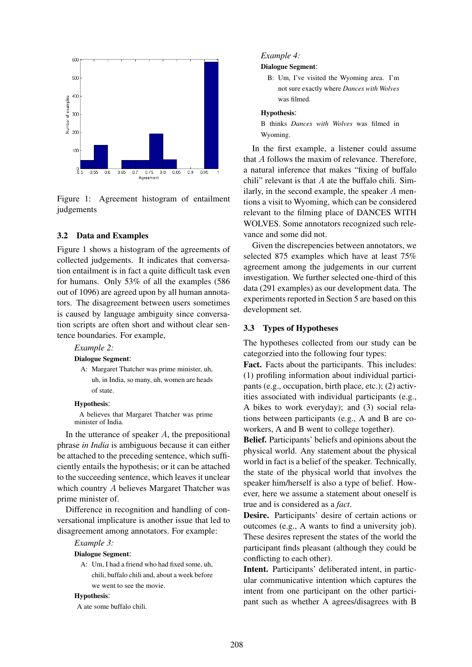

Figure 1: Agreement histogram of entailment judgements

### 3.2 Data and Examples

Figure 1 shows a histogram of the agreements of collected judgements. It indicates that conversation entailment is in fact a quite difficult task even for humans. Only 53% of all the examples (586 out of 1096) are agreed upon by all human annotators. The disagreement between users sometimes is caused by language ambiguity since conversation scripts are often short and without clear sentence boundaries. For example,

#### *Example 2:*

Dialogue Segment:

A: Margaret Thatcher was prime minister, uh, uh, in India, so many, uh, women are heads of state.

#### Hypothesis:

A believes that Margaret Thatcher was prime minister of India.

In the utterance of speaker  $A$ , the prepositional phrase *in India* is ambiguous because it can either be attached to the preceding sentence, which sufficiently entails the hypothesis; or it can be attached to the succeeding sentence, which leaves it unclear which country A believes Margaret Thatcher was prime minister of.

Difference in recognition and handling of conversational implicature is another issue that led to disagreement among annotators. For example:

## *Example 3:*

#### Dialogue Segment:

A: Um, I had a friend who had fixed some, uh, chili, buffalo chili and, about a week before we went to see the movie.

### Hypothesis:

A ate some buffalo chili.

#### *Example 4:*

Dialogue Segment:

B: Um, I've visited the Wyoming area. I'm not sure exactly where *Dances with Wolves* was filmed.

#### Hypothesis:

B thinks *Dances with Wolves* was filmed in Wyoming.

In the first example, a listener could assume that A follows the maxim of relevance. Therefore, a natural inference that makes "fixing of buffalo chili" relevant is that  $A$  ate the buffalo chili. Similarly, in the second example, the speaker  $A$  mentions a visit to Wyoming, which can be considered relevant to the filming place of DANCES WITH WOLVES. Some annotators recognized such relevance and some did not.

Given the discrepencies between annotators, we selected 875 examples which have at least 75% agreement among the judgements in our current investigation. We further selected one-third of this data (291 examples) as our development data. The experiments reported in Section 5 are based on this development set.

#### 3.3 Types of Hypotheses

The hypotheses collected from our study can be categorzied into the following four types:

Fact. Facts about the participants. This includes: (1) profiling information about individual participants (e.g., occupation, birth place, etc.); (2) activities associated with individual participants (e.g., A bikes to work everyday); and (3) social relations between participants (e.g., A and B are coworkers, A and B went to college together).

Belief. Participants' beliefs and opinions about the physical world. Any statement about the physical world in fact is a belief of the speaker. Technically, the state of the physical world that involves the speaker him/herself is also a type of belief. However, here we assume a statement about oneself is true and is considered as a *fact*.

Desire. Participants' desire of certain actions or outcomes (e.g., A wants to find a university job). These desires represent the states of the world the participant finds pleasant (although they could be conflicting to each other).

Intent. Participants' deliberated intent, in particular communicative intention which captures the intent from one participant on the other participant such as whether A agrees/disagrees with B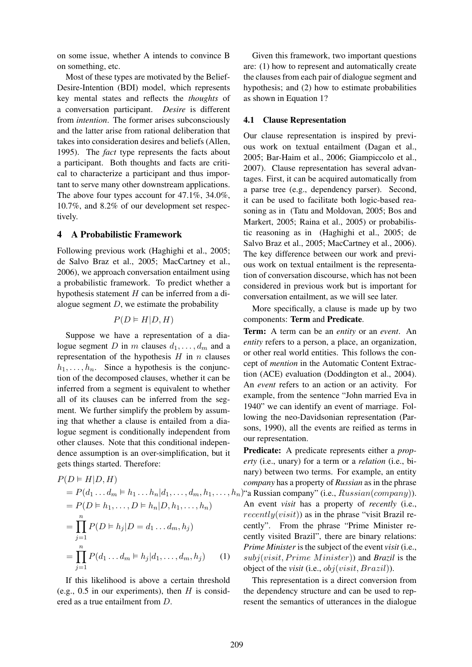on some issue, whether A intends to convince B on something, etc.

Most of these types are motivated by the Belief-Desire-Intention (BDI) model, which represents key mental states and reflects the *thoughts* of a conversation participant. *Desire* is different from *intention*. The former arises subconsciously and the latter arise from rational deliberation that takes into consideration desires and beliefs (Allen, 1995). The *fact* type represents the facts about a participant. Both thoughts and facts are critical to characterize a participant and thus important to serve many other downstream applications. The above four types account for 47.1%, 34.0%, 10.7%, and 8.2% of our development set respectively.

## 4 A Probabilistic Framework

Following previous work (Haghighi et al., 2005; de Salvo Braz et al., 2005; MacCartney et al., 2006), we approach conversation entailment using a probabilistic framework. To predict whether a hypothesis statement  $H$  can be inferred from a dialogue segment  $D$ , we estimate the probability

$$
P(D \vDash H | D, H)
$$

Suppose we have a representation of a dialogue segment D in m clauses  $d_1, \ldots, d_m$  and a representation of the hypothesis  $H$  in  $n$  clauses  $h_1, \ldots, h_n$ . Since a hypothesis is the conjunction of the decomposed clauses, whether it can be inferred from a segment is equivalent to whether all of its clauses can be inferred from the segment. We further simplify the problem by assuming that whether a clause is entailed from a dialogue segment is conditionally independent from other clauses. Note that this conditional independence assumption is an over-simplification, but it gets things started. Therefore:

$$
P(D \models H|D, H)
$$
  
=  $P(d_1 ... d_m \models h_1 ... h_n | d_1, ..., d_m, h_1, ..., h_n)$   
=  $P(D \models h_1, ..., D \models h_n | D, h_1, ..., h_n)$   
=  $\prod_{j=1}^n P(D \models h_j | D = d_1 ... d_m, h_j)$   
=  $\prod_{j=1}^n P(d_1 ... d_m \models h_j | d_1, ..., d_m, h_j)$  (1)

If this likelihood is above a certain threshold (e.g., 0.5 in our experiments), then  $H$  is considered as a true entailment from D.

Given this framework, two important questions are: (1) how to represent and automatically create the clauses from each pair of dialogue segment and hypothesis; and (2) how to estimate probabilities as shown in Equation 1?

### 4.1 Clause Representation

Our clause representation is inspired by previous work on textual entailment (Dagan et al., 2005; Bar-Haim et al., 2006; Giampiccolo et al., 2007). Clause representation has several advantages. First, it can be acquired automatically from a parse tree (e.g., dependency parser). Second, it can be used to facilitate both logic-based reasoning as in (Tatu and Moldovan, 2005; Bos and Markert, 2005; Raina et al., 2005) or probabilistic reasoning as in (Haghighi et al., 2005; de Salvo Braz et al., 2005; MacCartney et al., 2006). The key difference between our work and previous work on textual entailment is the representation of conversation discourse, which has not been considered in previous work but is important for conversation entailment, as we will see later.

More specifically, a clause is made up by two components: Term and Predicate.

Term: A term can be an *entity* or an *event*. An *entity* refers to a person, a place, an organization, or other real world entities. This follows the concept of *mention* in the Automatic Content Extraction (ACE) evaluation (Doddington et al., 2004). An *event* refers to an action or an activity. For example, from the sentence "John married Eva in 1940" we can identify an event of marriage. Following the neo-Davidsonian representation (Parsons, 1990), all the events are reified as terms in our representation.

Predicate: A predicate represents either a *property* (i.e., unary) for a term or a *relation* (i.e., binary) between two terms. For example, an entity *company* has a property of *Russian* as in the phrase  $n_i$ "a Russian company" (i.e.,  $Russian(company)$ ). An event *visit* has a property of *recently* (i.e.,  $recently(visit)$ ) as in the phrase "visit Brazil recently". From the phrase "Prime Minister recently visited Brazil", there are binary relations: *Prime Minister* is the subject of the event *visit* (i.e.,  $subj(visit, Prime Minister)$  and *Brazil* is the object of the *visit* (i.e., obj(visit, Brazil)).

This representation is a direct conversion from the dependency structure and can be used to represent the semantics of utterances in the dialogue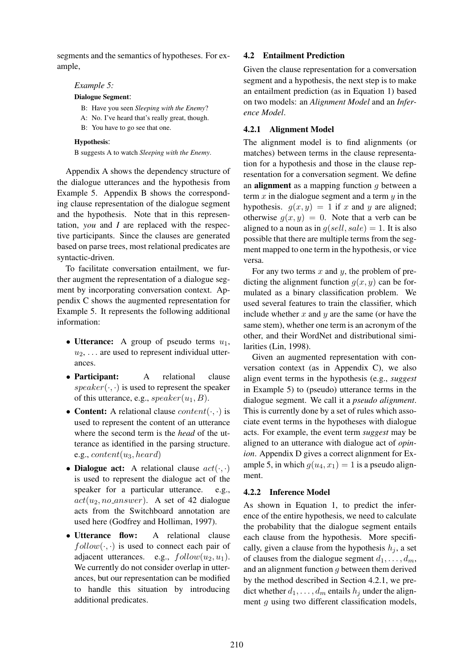segments and the semantics of hypotheses. For example,

### *Example 5:*

#### Dialogue Segment:

- B: Have you seen *Sleeping with the Enemy*?
- A: No. I've heard that's really great, though.
- B: You have to go see that one.

### Hypothesis:

B suggests A to watch *Sleeping with the Enemy*.

Appendix A shows the dependency structure of the dialogue utterances and the hypothesis from Example 5. Appendix B shows the corresponding clause representation of the dialogue segment and the hypothesis. Note that in this representation, *you* and *I* are replaced with the respective participants. Since the clauses are generated based on parse trees, most relational predicates are syntactic-driven.

To facilitate conversation entailment, we further augment the representation of a dialogue segment by incorporating conversation context. Appendix C shows the augmented representation for Example 5. It represents the following additional information:

- Utterance: A group of pseudo terms  $u_1$ ,  $u_2, \ldots$  are used to represent individual utterances.
- Participant: A relational clause  $speaker(\cdot, \cdot)$  is used to represent the speaker of this utterance, e.g.,  $speaker(u_1, B)$ .
- Content: A relational clause  $content(\cdot, \cdot)$  is used to represent the content of an utterance where the second term is the *head* of the utterance as identified in the parsing structure. e.g.,  $content(u_3, heard)$
- Dialogue act: A relational clause  $act(\cdot, \cdot)$ is used to represent the dialogue act of the speaker for a particular utterance. e.g.,  $act(u_2, no\_answer)$ . A set of 42 dialogue acts from the Switchboard annotation are used here (Godfrey and Holliman, 1997).
- Utterance flow: A relational clause  $follow(\cdot, \cdot)$  is used to connect each pair of adjacent utterances. e.g.,  $follow(u_2, u_1)$ . We currently do not consider overlap in utterances, but our representation can be modified to handle this situation by introducing additional predicates.

## 4.2 Entailment Prediction

Given the clause representation for a conversation segment and a hypothesis, the next step is to make an entailment prediction (as in Equation 1) based on two models: an *Alignment Model* and an *Inference Model*.

## 4.2.1 Alignment Model

The alignment model is to find alignments (or matches) between terms in the clause representation for a hypothesis and those in the clause representation for a conversation segment. We define an **alignment** as a mapping function  $q$  between a term  $x$  in the dialogue segment and a term  $y$  in the hypothesis.  $g(x, y) = 1$  if x and y are aligned; otherwise  $g(x, y) = 0$ . Note that a verb can be aligned to a noun as in  $q(sell, sale) = 1$ . It is also possible that there are multiple terms from the segment mapped to one term in the hypothesis, or vice versa.

For any two terms  $x$  and  $y$ , the problem of predicting the alignment function  $q(x, y)$  can be formulated as a binary classification problem. We used several features to train the classifier, which include whether  $x$  and  $y$  are the same (or have the same stem), whether one term is an acronym of the other, and their WordNet and distributional similarities (Lin, 1998).

Given an augmented representation with conversation context (as in Appendix C), we also align event terms in the hypothesis (e.g., *suggest* in Example 5) to (pseudo) utterance terms in the dialogue segment. We call it a *pseudo alignment*. This is currently done by a set of rules which associate event terms in the hypotheses with dialogue acts. For example, the event term *suggest* may be aligned to an utterance with dialogue act of *opinion*. Appendix D gives a correct alignment for Example 5, in which  $g(u_4, x_1) = 1$  is a pseudo alignment.

## 4.2.2 Inference Model

As shown in Equation 1, to predict the inference of the entire hypothesis, we need to calculate the probability that the dialogue segment entails each clause from the hypothesis. More specifically, given a clause from the hypothesis  $h_i$ , a set of clauses from the dialogue segment  $d_1, \ldots, d_m$ , and an alignment function  $g$  between them derived by the method described in Section 4.2.1, we predict whether  $d_1, \ldots, d_m$  entails  $h_j$  under the alignment *g* using two different classification models,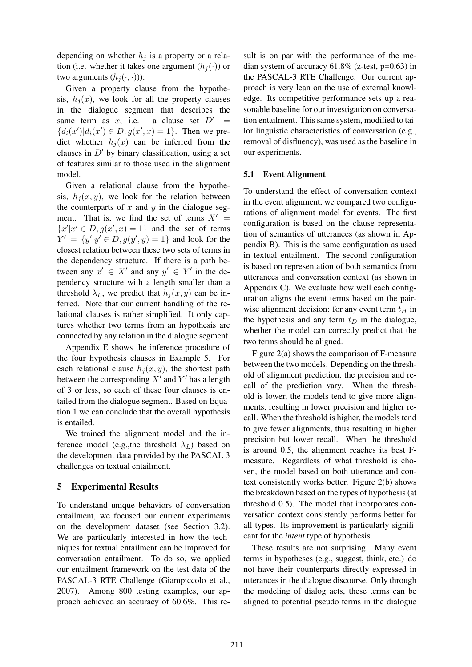depending on whether  $h_j$  is a property or a relation (i.e. whether it takes one argument  $(h_i(\cdot))$  or two arguments  $(h_i(\cdot, \cdot))$ :

Given a property clause from the hypothesis,  $h_i(x)$ , we look for all the property clauses in the dialogue segment that describes the same term as x, i.e. a clause set  $D' =$  ${d_i(x')|d_i(x') \in D, g(x',x) = 1}.$  Then we predict whether  $h_i(x)$  can be inferred from the clauses in  $D'$  by binary classification, using a set of features similar to those used in the alignment model.

Given a relational clause from the hypothesis,  $h_i(x, y)$ , we look for the relation between the counterparts of  $x$  and  $y$  in the dialogue segment. That is, we find the set of terms  $X' =$  ${x'|x' \in D, g(x',x) = 1}$  and the set of terms  $Y' = \{y'|y' \in D, g(y', y) = 1\}$  and look for the closest relation between these two sets of terms in the dependency structure. If there is a path between any  $x' \in X'$  and any  $y' \in Y'$  in the dependency structure with a length smaller than a threshold  $\lambda_L$ , we predict that  $h_i(x, y)$  can be inferred. Note that our current handling of the relational clauses is rather simplified. It only captures whether two terms from an hypothesis are connected by any relation in the dialogue segment.

Appendix E shows the inference procedure of the four hypothesis clauses in Example 5. For each relational clause  $h_i(x, y)$ , the shortest path between the corresponding  $X'$  and  $Y'$  has a length of 3 or less, so each of these four clauses is entailed from the dialogue segment. Based on Equation 1 we can conclude that the overall hypothesis is entailed.

We trained the alignment model and the inference model (e.g., the threshold  $\lambda_L$ ) based on the development data provided by the PASCAL 3 challenges on textual entailment.

## 5 Experimental Results

To understand unique behaviors of conversation entailment, we focused our current experiments on the development dataset (see Section 3.2). We are particularly interested in how the techniques for textual entailment can be improved for conversation entailment. To do so, we applied our entailment framework on the test data of the PASCAL-3 RTE Challenge (Giampiccolo et al., 2007). Among 800 testing examples, our approach achieved an accuracy of 60.6%. This re-

sult is on par with the performance of the median system of accuracy  $61.8\%$  (z-test, p=0.63) in the PASCAL-3 RTE Challenge. Our current approach is very lean on the use of external knowledge. Its competitive performance sets up a reasonable baseline for our investigation on conversation entailment. This same system, modified to tailor linguistic characteristics of conversation (e.g., removal of disfluency), was used as the baseline in our experiments.

### 5.1 Event Alignment

To understand the effect of conversation context in the event alignment, we compared two configurations of alignment model for events. The first configuration is based on the clause representation of semantics of utterances (as shown in Appendix B). This is the same configuration as used in textual entailment. The second configuration is based on representation of both semantics from utterances and conversation context (as shown in Appendix C). We evaluate how well each configuration aligns the event terms based on the pairwise alignment decision: for any event term  $t_H$  in the hypothesis and any term  $t_D$  in the dialogue, whether the model can correctly predict that the two terms should be aligned.

Figure 2(a) shows the comparison of F-measure between the two models. Depending on the threshold of alignment prediction, the precision and recall of the prediction vary. When the threshold is lower, the models tend to give more alignments, resulting in lower precision and higher recall. When the threshold is higher, the models tend to give fewer alignments, thus resulting in higher precision but lower recall. When the threshold is around 0.5, the alignment reaches its best Fmeasure. Regardless of what threshold is chosen, the model based on both utterance and context consistently works better. Figure 2(b) shows the breakdown based on the types of hypothesis (at threshold 0.5). The model that incorporates conversation context consistently performs better for all types. Its improvement is particularly significant for the *intent* type of hypothesis.

These results are not surprising. Many event terms in hypotheses (e.g., suggest, think, etc.) do not have their counterparts directly expressed in utterances in the dialogue discourse. Only through the modeling of dialog acts, these terms can be aligned to potential pseudo terms in the dialogue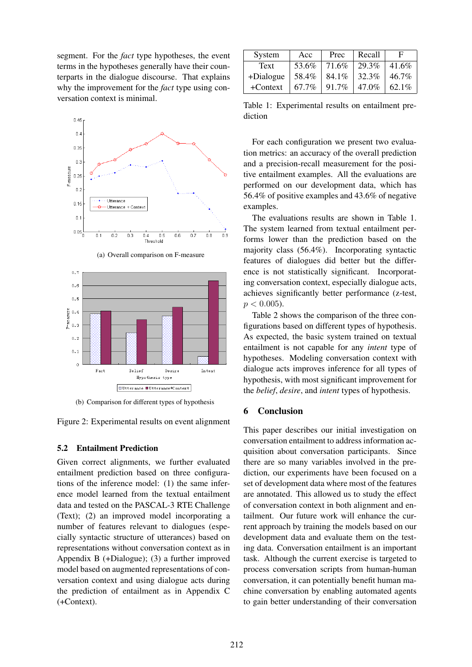segment. For the *fact* type hypotheses, the event terms in the hypotheses generally have their counterparts in the dialogue discourse. That explains why the improvement for the *fact* type using conversation context is minimal.



(a) Overall comparison on F-measure



(b) Comparison for different types of hypothesis

Figure 2: Experimental results on event alignment

### 5.2 Entailment Prediction

Given correct alignments, we further evaluated entailment prediction based on three configurations of the inference model: (1) the same inference model learned from the textual entailment data and tested on the PASCAL-3 RTE Challenge (Text); (2) an improved model incorporating a number of features relevant to dialogues (especially syntactic structure of utterances) based on representations without conversation context as in Appendix B (+Dialogue); (3) a further improved model based on augmented representations of conversation context and using dialogue acts during the prediction of entailment as in Appendix C (+Context).

| System    | Acc   | Prec  | Recall | F     |
|-----------|-------|-------|--------|-------|
| Text      | 53.6% | 71.6% | 29.3%  | 41.6% |
| +Dialogue | 58.4% | 84.1% | 32.3%  | 46.7% |
| +Context  | 67.7% | 91.7% | 47.0%  | 62.1% |

Table 1: Experimental results on entailment prediction

For each configuration we present two evaluation metrics: an accuracy of the overall prediction and a precision-recall measurement for the positive entailment examples. All the evaluations are performed on our development data, which has 56.4% of positive examples and 43.6% of negative examples.

The evaluations results are shown in Table 1. The system learned from textual entailment performs lower than the prediction based on the majority class (56.4%). Incorporating syntactic features of dialogues did better but the difference is not statistically significant. Incorporating conversation context, especially dialogue acts, achieves significantly better performance (z-test,  $p < 0.005$ ).

Table 2 shows the comparison of the three configurations based on different types of hypothesis. As expected, the basic system trained on textual entailment is not capable for any *intent* type of hypotheses. Modeling conversation context with dialogue acts improves inference for all types of hypothesis, with most significant improvement for the *belief*, *desire*, and *intent* types of hypothesis.

## 6 Conclusion

This paper describes our initial investigation on conversation entailment to address information acquisition about conversation participants. Since there are so many variables involved in the prediction, our experiments have been focused on a set of development data where most of the features are annotated. This allowed us to study the effect of conversation context in both alignment and entailment. Our future work will enhance the current approach by training the models based on our development data and evaluate them on the testing data. Conversation entailment is an important task. Although the current exercise is targeted to process conversation scripts from human-human conversation, it can potentially benefit human machine conversation by enabling automated agents to gain better understanding of their conversation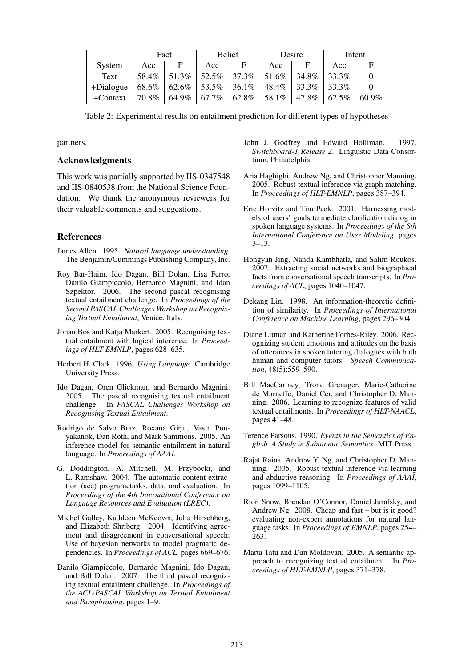|            | Fact  |       | <b>Belief</b>     |                            | Desire |          | Intent |          |
|------------|-------|-------|-------------------|----------------------------|--------|----------|--------|----------|
| System     | Acc   | E     | Acc               | E                          | Acc    |          | Acc    | F        |
| Text       | 58.4% | 51.3% |                   | $52.5\%$   37.3\%   51.6\% |        | 34.8%    | 33.3%  |          |
| +Dialogue  | 68.6% |       | $62.6\%$   53.5\% | $36.1\%$                   | 48.4%  | $33.3\%$ | 33.3%  |          |
| $+Context$ | 70.8% | 64.9% | 67.7%             | 62.8%                      | 58.1%  | 47.8%    | 62.5%  | $60.9\%$ |

Table 2: Experimental results on entailment prediction for different types of hypotheses

partners.

### Acknowledgments

This work was partially supported by IIS-0347548 and IIS-0840538 from the National Science Foundation. We thank the anonymous reviewers for their valuable comments and suggestions.

## References

- James Allen. 1995. *Natural language understanding*. The Benjamin/Cummings Publishing Company, Inc.
- Roy Bar-Haim, Ido Dagan, Bill Dolan, Lisa Ferro, Danilo Giampiccolo, Bernardo Magnini, and Idan Szpektor. 2006. The second pascal recognising textual entailment challenge. In *Proceedings of the Second PASCAL Challenges Workshop on Recognising Textual Entailment*, Venice, Italy.
- Johan Bos and Katja Markert. 2005. Recognising textual entailment with logical inference. In *Proceedings of HLT-EMNLP*, pages 628–635.
- Herbert H. Clark. 1996. *Using Language*. Cambridge University Press.
- Ido Dagan, Oren Glickman, and Bernardo Magnini. 2005. The pascal recognising textual entailment challenge. In *PASCAL Challenges Workshop on Recognising Textual Entailment*.
- Rodrigo de Salvo Braz, Roxana Girju, Vasin Punyakanok, Dan Roth, and Mark Sammons. 2005. An inference model for semantic entailment in natural language. In *Proceedings of AAAI*.
- G. Doddington, A. Mitchell, M. Przybocki, and L. Ramshaw. 2004. The automatic content extraction (ace) programctasks, data, and evaluation. In *Proceedings of the 4th International Conference on Language Resources and Evaluation (LREC)*.
- Michel Galley, Kathleen McKeown, Julia Hirschberg, and Elizabeth Shriberg. 2004. Identifying agreement and disagreement in conversational speech: Use of bayesian networks to model pragmatic dependencies. In *Proceedings of ACL*, pages 669–676.
- Danilo Giampiccolo, Bernardo Magnini, Ido Dagan, and Bill Dolan. 2007. The third pascal recognizing textual entailment challenge. In *Proceedings of the ACL-PASCAL Workshop on Textual Entailment and Paraphrasing*, pages 1–9.
- John J. Godfrey and Edward Holliman. 1997. *Switchboard-1 Release 2*. Linguistic Data Consortium, Philadelphia.
- Aria Haghighi, Andrew Ng, and Christopher Manning. 2005. Robust textual inference via graph matching. In *Proceedings of HLT-EMNLP*, pages 387–394.
- Eric Horvitz and Tim Paek. 2001. Harnessing models of users' goals to mediate clarification dialog in spoken language systems. In *Proceedings of the 8th International Conference on User Modeling*, pages 3–13.
- Hongyan Jing, Nanda Kambhatla, and Salim Roukos. 2007. Extracting social networks and biographical facts from conversational speech transcripts. In *Proceedings of ACL*, pages 1040–1047.
- Dekang Lin. 1998. An information-theoretic definition of similarity. In *Proceedings of International Conference on Machine Learning*, pages 296–304.
- Diane Litman and Katherine Forbes-Riley. 2006. Recognizing student emotions and attitudes on the basis of utterances in spoken tutoring dialogues with both human and computer tutors. *Speech Communication*, 48(5):559–590.
- Bill MacCartney, Trond Grenager, Marie-Catherine de Marneffe, Daniel Cer, and Christopher D. Manning. 2006. Learning to recognize features of valid textual entailments. In *Proceedings of HLT-NAACL*, pages 41–48.
- Terence Parsons. 1990. *Events in the Semantics of English. A Study in Subatomic Semantics*. MIT Press.
- Rajat Raina, Andrew Y. Ng, and Christopher D. Manning. 2005. Robust textual inference via learning and abductive reasoning. In *Proceedings of AAAI*, pages 1099–1105.
- Rion Snow, Brendan O'Connor, Daniel Jurafsky, and Andrew Ng. 2008. Cheap and fast – but is it good? evaluating non-expert annotations for natural language tasks. In *Proceedings of EMNLP*, pages 254– 263.
- Marta Tatu and Dan Moldovan. 2005. A semantic approach to recognizing textual entailment. In *Proceedings of HLT-EMNLP*, pages 371–378.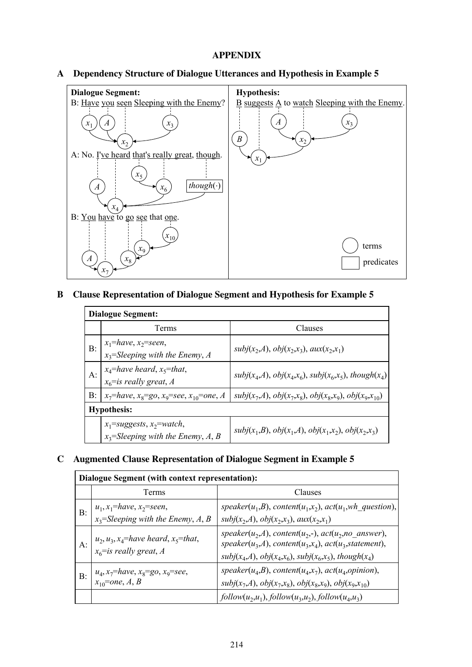## APPENDIX

## A Dependency Structure of Dialogue Utterances and Hypothesis in Example 5



# B Clause Representation of Dialogue Segment and Hypothesis for Example 5

|       | <b>Dialogue Segment:</b>                                               |                                                            |  |  |  |  |  |
|-------|------------------------------------------------------------------------|------------------------------------------------------------|--|--|--|--|--|
|       | Terms                                                                  | Clauses                                                    |  |  |  |  |  |
| $B$ : | $x_1$ =have, $x_2$ =seen,<br>$x_3$ =Sleeping with the Enemy, A         | $subj(x_2, A), obj(x_2, x_3), aux(x_2, x_1)$               |  |  |  |  |  |
| $A$ : | $x_4$ =have heard, $x_5$ =that,<br>$x_6$ =is really great, A           | $subj(x_4,A), obj(x_4,x_6), subj(x_6,x_5), though(x_4)$    |  |  |  |  |  |
| $B$ : | $x_7$ =have, $x_8$ =go, $x_9$ =see, $x_{10}$ =one, A                   | $subj(x_7,A), obj(x_7,x_8), obj(x_8,x_9), obj(x_9,x_{10})$ |  |  |  |  |  |
|       | <b>Hypothesis:</b>                                                     |                                                            |  |  |  |  |  |
|       | $x_1$ =suggests, $x_2$ =watch,<br>$x_3$ =Sleeping with the Enemy, A, B | $subj(x_1, B), obj(x_1, A), obj(x_1, x_2), obj(x_2, x_3)$  |  |  |  |  |  |

## C Augmented Clause Representation of Dialogue Segment in Example 5

| Dialogue Segment (with context representation): |                                                                        |                                                                                                                                                                                           |  |  |  |  |
|-------------------------------------------------|------------------------------------------------------------------------|-------------------------------------------------------------------------------------------------------------------------------------------------------------------------------------------|--|--|--|--|
|                                                 | Terms                                                                  | Clauses                                                                                                                                                                                   |  |  |  |  |
| B:                                              | $u_1, x_1$ =have, $x_2$ =seen,<br>$x_3$ =Sleeping with the Enemy, A, B | speaker( $u_1,B$ ), content( $u_1,x_2$ ), act( $u_1,wh$ question),<br>$subj(x_2, A), obj(x_2, x_3), aux(x_2, x_1)$                                                                        |  |  |  |  |
| A:                                              | $u_2, u_3, x_4$ =have heard, $x_5$ =that,<br>$x_6$ =is really great, A | speaker( $u_2$ ,A), content( $u_2$ ,-), act( $u_2$ ,no_answer),<br>$speaker(u_3,A), content(u_3,x_4), act(u_3, statement),$<br>$subj(x_4, A), obj(x_4, x_6), subj(x_6, x_5), though(x_4)$ |  |  |  |  |
| $B$ :                                           | $u_4$ , $x_7$ =have, $x_8$ =go, $x_9$ =see,<br>$x_{10}$ =one, A, B     | speaker( $u_4$ ,B), content( $u_4$ , $x_7$ ), act( $u_4$ ,opinion),<br>$subj(x_7,A), obj(x_7,x_8), obj(x_8,x_9), obj(x_9,x_{10})$                                                         |  |  |  |  |
|                                                 |                                                                        | $follow(u_2, u_1), follow(u_3, u_2), follow(u_4, u_3)$                                                                                                                                    |  |  |  |  |